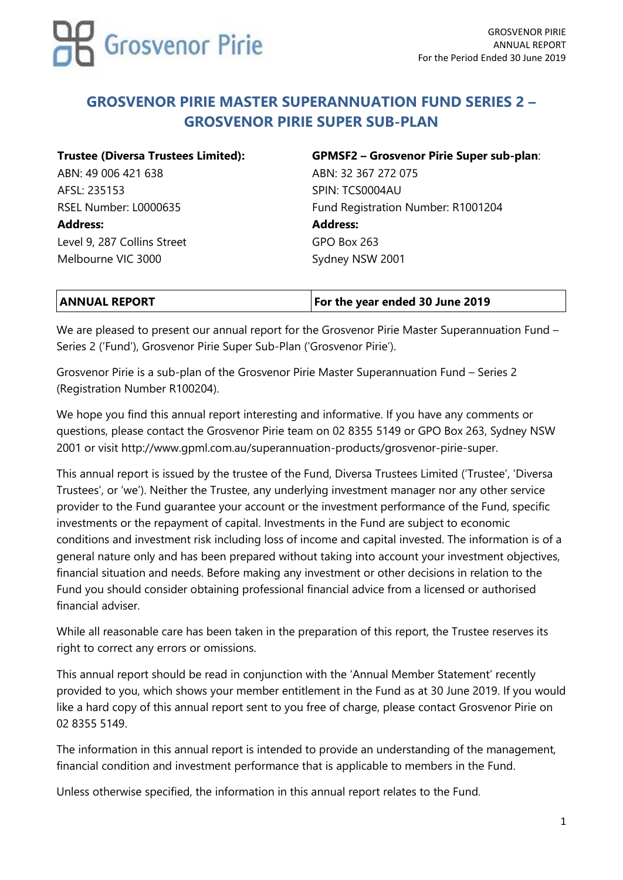

## **GROSVENOR PIRIE MASTER SUPERANNUATION FUND SERIES 2 – GROSVENOR PIRIE SUPER SUB-PLAN**

ABN: 49 006 421 638 ABN: 32 367 272 075 AFSL: 235153 SPIN: TCS0004AU **Address: Address:** Level 9, 287 Collins Street GPO Box 263 Melbourne VIC 3000 Sydney NSW 2001

# **Trustee (Diversa Trustees Limited): GPMSF2 – Grosvenor Pirie Super sub-plan**: RSEL Number: L0000635 Fund Registration Number: R1001204

| <b>ANNUAL REPORT</b> | <b>For the year ended 30 June 2019</b> |
|----------------------|----------------------------------------|

We are pleased to present our annual report for the Grosvenor Pirie Master Superannuation Fund – Series 2 ('Fund'), Grosvenor Pirie Super Sub-Plan ('Grosvenor Pirie').

Grosvenor Pirie is a sub-plan of the Grosvenor Pirie Master Superannuation Fund – Series 2 (Registration Number R100204).

We hope you find this annual report interesting and informative. If you have any comments or questions, please contact the Grosvenor Pirie team on 02 8355 5149 or GPO Box 263, Sydney NSW 2001 or visit [http://www.gpml.com.au/superannuation-products/grosvenor-pirie-super.](http://www.gpml.com.au/superannuation-products/grosvenor-pirie-super)

This annual report is issued by the trustee of the Fund, Diversa Trustees Limited ('Trustee', 'Diversa Trustees', or 'we'). Neither the Trustee, any underlying investment manager nor any other service provider to the Fund guarantee your account or the investment performance of the Fund, specific investments or the repayment of capital. Investments in the Fund are subject to economic conditions and investment risk including loss of income and capital invested. The information is of a general nature only and has been prepared without taking into account your investment objectives, financial situation and needs. Before making any investment or other decisions in relation to the Fund you should consider obtaining professional financial advice from a licensed or authorised financial adviser.

While all reasonable care has been taken in the preparation of this report, the Trustee reserves its right to correct any errors or omissions.

This annual report should be read in conjunction with the 'Annual Member Statement' recently provided to you, which shows your member entitlement in the Fund as at 30 June 2019. If you would like a hard copy of this annual report sent to you free of charge, please contact Grosvenor Pirie on 02 8355 5149.

The information in this annual report is intended to provide an understanding of the management, financial condition and investment performance that is applicable to members in the Fund.

Unless otherwise specified, the information in this annual report relates to the Fund.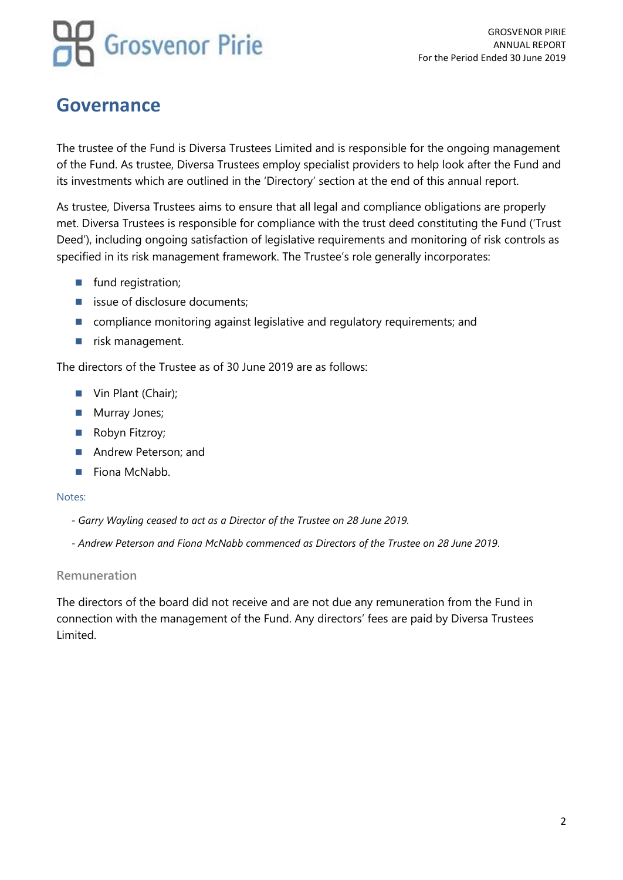GROSVENOR PIRIE ANNUAL REPORT For the Period Ended 30 June 2019

## **Governance**

The trustee of the Fund is Diversa Trustees Limited and is responsible for the ongoing management of the Fund. As trustee, Diversa Trustees employ specialist providers to help look after the Fund and its investments which are outlined in the 'Directory' section at the end of this annual report.

As trustee, Diversa Trustees aims to ensure that all legal and compliance obligations are properly met. Diversa Trustees is responsible for compliance with the trust deed constituting the Fund ('Trust Deed'), including ongoing satisfaction of legislative requirements and monitoring of risk controls as specified in its risk management framework. The Trustee's role generally incorporates:

- fund registration;
- issue of disclosure documents;
- compliance monitoring against legislative and regulatory requirements; and
- risk management.

The directors of the Trustee as of 30 June 2019 are as follows:

- Vin Plant (Chair);
- Murray Jones;
- Robyn Fitzroy;
- Andrew Peterson; and
- Fiona McNabb.

#### Notes:

- *- Garry Wayling ceased to act as a Director of the Trustee on 28 June 2019.*
- *- Andrew Peterson and Fiona McNabb commenced as Directors of the Trustee on 28 June 2019.*

#### **Remuneration**

The directors of the board did not receive and are not due any remuneration from the Fund in connection with the management of the Fund. Any directors' fees are paid by Diversa Trustees Limited.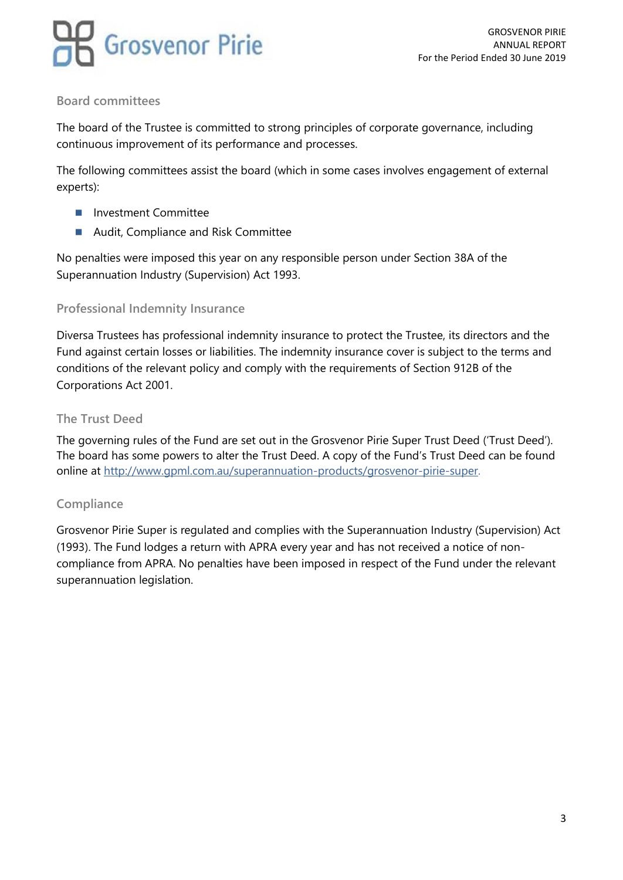

### **Board committees**

The board of the Trustee is committed to strong principles of corporate governance, including continuous improvement of its performance and processes.

The following committees assist the board (which in some cases involves engagement of external experts):

- Investment Committee
- Audit, Compliance and Risk Committee

No penalties were imposed this year on any responsible person under Section 38A of the Superannuation Industry (Supervision) Act 1993.

#### **Professional Indemnity Insurance**

Diversa Trustees has professional indemnity insurance to protect the Trustee, its directors and the Fund against certain losses or liabilities. The indemnity insurance cover is subject to the terms and conditions of the relevant policy and comply with the requirements of Section 912B of the Corporations Act 2001.

#### **The Trust Deed**

The governing rules of the Fund are set out in the Grosvenor Pirie Super Trust Deed ('Trust Deed'). The board has some powers to alter the Trust Deed. A copy of the Fund's Trust Deed can be found online at<http://www.gpml.com.au/superannuation-products/grosvenor-pirie-super>.

#### **Compliance**

Grosvenor Pirie Super is regulated and complies with the Superannuation Industry (Supervision) Act (1993). The Fund lodges a return with APRA every year and has not received a notice of noncompliance from APRA. No penalties have been imposed in respect of the Fund under the relevant superannuation legislation.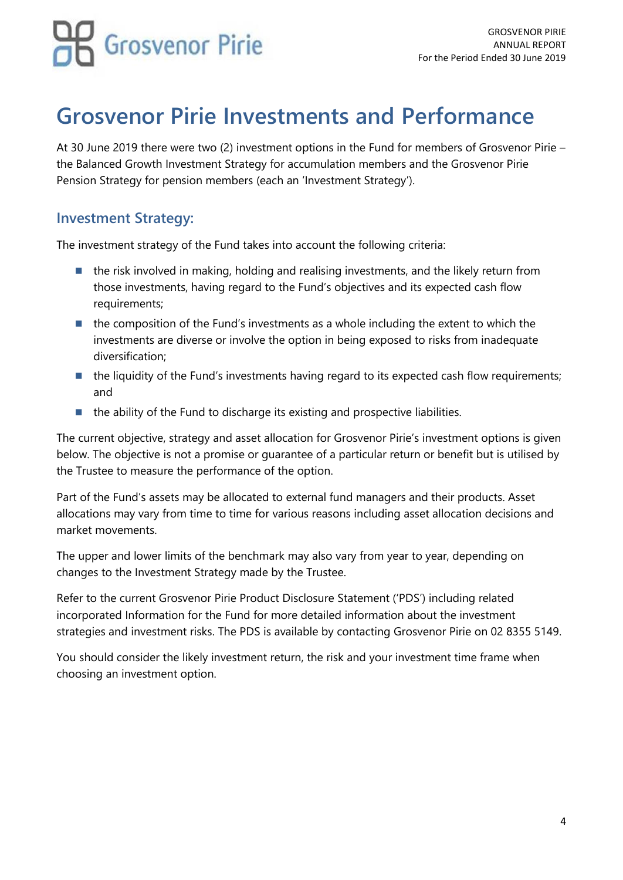## **Grosvenor Pirie Investments and Performance**

At 30 June 2019 there were two (2) investment options in the Fund for members of Grosvenor Pirie – the Balanced Growth Investment Strategy for accumulation members and the Grosvenor Pirie Pension Strategy for pension members (each an 'Investment Strategy').

### **Investment Strategy:**

The investment strategy of the Fund takes into account the following criteria:

- the risk involved in making, holding and realising investments, and the likely return from those investments, having regard to the Fund's objectives and its expected cash flow requirements;
- the composition of the Fund's investments as a whole including the extent to which the investments are diverse or involve the option in being exposed to risks from inadequate diversification;
- the liquidity of the Fund's investments having regard to its expected cash flow requirements; and
- the ability of the Fund to discharge its existing and prospective liabilities.

The current objective, strategy and asset allocation for Grosvenor Pirie's investment options is given below. The objective is not a promise or guarantee of a particular return or benefit but is utilised by the Trustee to measure the performance of the option.

Part of the Fund's assets may be allocated to external fund managers and their products. Asset allocations may vary from time to time for various reasons including asset allocation decisions and market movements.

The upper and lower limits of the benchmark may also vary from year to year, depending on changes to the Investment Strategy made by the Trustee.

Refer to the current Grosvenor Pirie Product Disclosure Statement ('PDS') including related incorporated Information for the Fund for more detailed information about the investment strategies and investment risks. The PDS is available by contacting Grosvenor Pirie on 02 8355 5149.

You should consider the likely investment return, the risk and your investment time frame when choosing an investment option.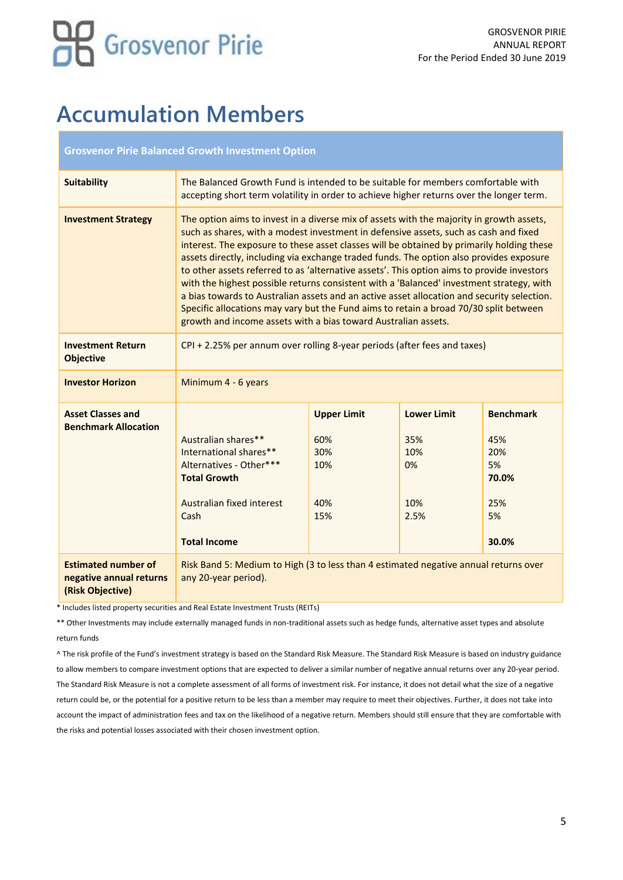## **Accumulation Members**

#### **Grosvenor Pirie Balanced Growth Investment Option**

| <b>Suitability</b>                                                        | The Balanced Growth Fund is intended to be suitable for members comfortable with<br>accepting short term volatility in order to achieve higher returns over the longer term.                                                                                                                                                                                                                                                                                                                                                                                                                                                                                                                                                                                                                                                |                                                       |                                                       |                                                                     |
|---------------------------------------------------------------------------|-----------------------------------------------------------------------------------------------------------------------------------------------------------------------------------------------------------------------------------------------------------------------------------------------------------------------------------------------------------------------------------------------------------------------------------------------------------------------------------------------------------------------------------------------------------------------------------------------------------------------------------------------------------------------------------------------------------------------------------------------------------------------------------------------------------------------------|-------------------------------------------------------|-------------------------------------------------------|---------------------------------------------------------------------|
| <b>Investment Strategy</b>                                                | The option aims to invest in a diverse mix of assets with the majority in growth assets,<br>such as shares, with a modest investment in defensive assets, such as cash and fixed<br>interest. The exposure to these asset classes will be obtained by primarily holding these<br>assets directly, including via exchange traded funds. The option also provides exposure<br>to other assets referred to as 'alternative assets'. This option aims to provide investors<br>with the highest possible returns consistent with a 'Balanced' investment strategy, with<br>a bias towards to Australian assets and an active asset allocation and security selection.<br>Specific allocations may vary but the Fund aims to retain a broad 70/30 split between<br>growth and income assets with a bias toward Australian assets. |                                                       |                                                       |                                                                     |
| <b>Investment Return</b><br><b>Objective</b>                              | $CPI + 2.25\%$ per annum over rolling 8-year periods (after fees and taxes)                                                                                                                                                                                                                                                                                                                                                                                                                                                                                                                                                                                                                                                                                                                                                 |                                                       |                                                       |                                                                     |
| <b>Investor Horizon</b>                                                   | Minimum 4 - 6 years                                                                                                                                                                                                                                                                                                                                                                                                                                                                                                                                                                                                                                                                                                                                                                                                         |                                                       |                                                       |                                                                     |
| <b>Asset Classes and</b><br><b>Benchmark Allocation</b>                   | Australian shares**<br>International shares**<br>Alternatives - Other***<br><b>Total Growth</b><br>Australian fixed interest<br>Cash<br><b>Total Income</b>                                                                                                                                                                                                                                                                                                                                                                                                                                                                                                                                                                                                                                                                 | <b>Upper Limit</b><br>60%<br>30%<br>10%<br>40%<br>15% | <b>Lower Limit</b><br>35%<br>10%<br>0%<br>10%<br>2.5% | <b>Benchmark</b><br>45%<br>20%<br>5%<br>70.0%<br>25%<br>5%<br>30.0% |
| <b>Estimated number of</b><br>negative annual returns<br>(Risk Objective) | Risk Band 5: Medium to High (3 to less than 4 estimated negative annual returns over<br>any 20-year period).                                                                                                                                                                                                                                                                                                                                                                                                                                                                                                                                                                                                                                                                                                                |                                                       |                                                       |                                                                     |

\* Includes listed property securities and Real Estate Investment Trusts (REITs)

\*\* Other Investments may include externally managed funds in non-traditional assets such as hedge funds, alternative asset types and absolute return funds

^ The risk profile of the Fund's investment strategy is based on the Standard Risk Measure. The Standard Risk Measure is based on industry guidance to allow members to compare investment options that are expected to deliver a similar number of negative annual returns over any 20-year period. The Standard Risk Measure is not a complete assessment of all forms of investment risk. For instance, it does not detail what the size of a negative return could be, or the potential for a positive return to be less than a member may require to meet their objectives. Further, it does not take into account the impact of administration fees and tax on the likelihood of a negative return. Members should still ensure that they are comfortable with the risks and potential losses associated with their chosen investment option.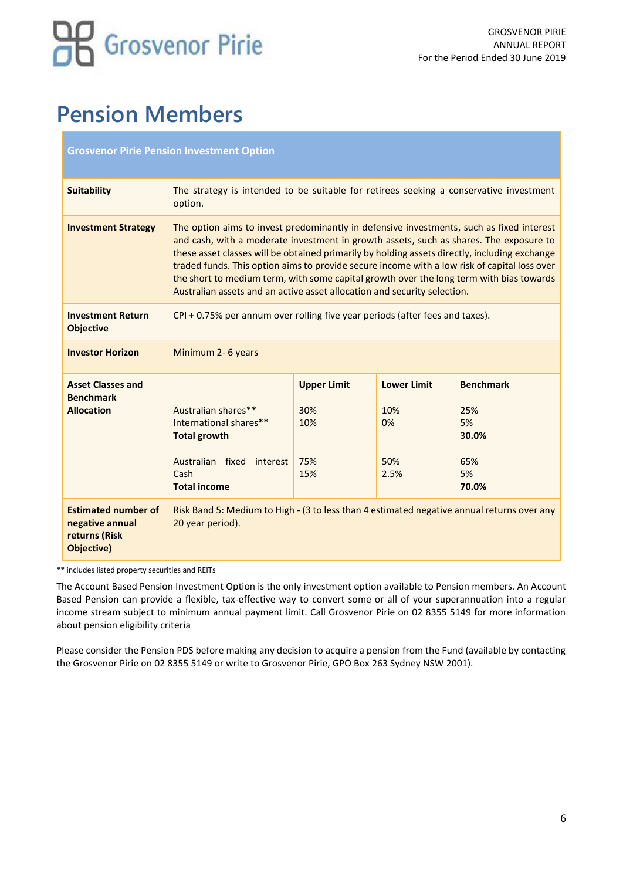## **Pension Members**

|                                                                              | <b>Grosvenor Pirie Pension Investment Option</b>                                                                                                                                                                                                                                                                                                                                                                                                                                                                                                           |  |  |
|------------------------------------------------------------------------------|------------------------------------------------------------------------------------------------------------------------------------------------------------------------------------------------------------------------------------------------------------------------------------------------------------------------------------------------------------------------------------------------------------------------------------------------------------------------------------------------------------------------------------------------------------|--|--|
| <b>Suitability</b>                                                           | The strategy is intended to be suitable for retirees seeking a conservative investment<br>option.                                                                                                                                                                                                                                                                                                                                                                                                                                                          |  |  |
| <b>Investment Strategy</b>                                                   | The option aims to invest predominantly in defensive investments, such as fixed interest<br>and cash, with a moderate investment in growth assets, such as shares. The exposure to<br>these asset classes will be obtained primarily by holding assets directly, including exchange<br>traded funds. This option aims to provide secure income with a low risk of capital loss over<br>the short to medium term, with some capital growth over the long term with bias towards<br>Australian assets and an active asset allocation and security selection. |  |  |
| <b>Investment Return</b><br><b>Objective</b>                                 | CPI + 0.75% per annum over rolling five year periods (after fees and taxes).                                                                                                                                                                                                                                                                                                                                                                                                                                                                               |  |  |
| <b>Investor Horizon</b>                                                      | Minimum 2- 6 years                                                                                                                                                                                                                                                                                                                                                                                                                                                                                                                                         |  |  |
| <b>Asset Classes and</b><br><b>Benchmark</b><br><b>Allocation</b>            | <b>Benchmark</b><br><b>Upper Limit</b><br><b>Lower Limit</b><br>Australian shares**<br>30%<br>10%<br>25%<br>International shares**<br>10%<br>0%<br>5%<br><b>Total growth</b><br>30.0%<br>50%<br>Australian fixed interest<br>75%<br>65%<br>Cash<br>15%<br>5%<br>2.5%<br><b>Total income</b><br>70.0%                                                                                                                                                                                                                                                       |  |  |
| <b>Estimated number of</b><br>negative annual<br>returns (Risk<br>Objective) | Risk Band 5: Medium to High - (3 to less than 4 estimated negative annual returns over any<br>20 year period).                                                                                                                                                                                                                                                                                                                                                                                                                                             |  |  |

\*\* includes listed property securities and REITs

The Account Based Pension Investment Option is the only investment option available to Pension members. An Account Based Pension can provide a flexible, tax-effective way to convert some or all of your superannuation into a regular income stream subject to minimum annual payment limit. Call Grosvenor Pirie on 02 8355 5149 for more information about pension eligibility criteria

Please consider the Pension PDS before making any decision to acquire a pension from the Fund (available by contacting the Grosvenor Pirie on 02 8355 5149 or write to Grosvenor Pirie, GPO Box 263 Sydney NSW 2001).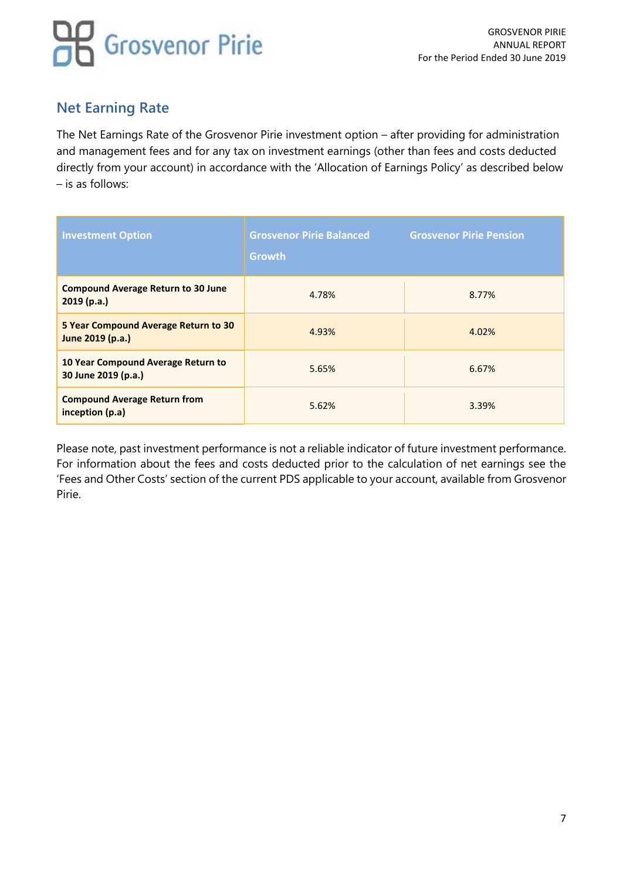## **Net Earning Rate**

The Net Earnings Rate of the Grosvenor Pirie investment option – after providing for administration and management fees and for any tax on investment earnings (other than fees and costs deducted directly from your account) in accordance with the 'Allocation of Earnings Policy' as described below – is as follows:

| <b>Investment Option</b>                                  | <b>Grosvenor Pirie Balanced</b><br><b>Growth</b> | <b>Grosvenor Pirie Pension</b> |
|-----------------------------------------------------------|--------------------------------------------------|--------------------------------|
| <b>Compound Average Return to 30 June</b><br>2019(p.a.)   | 4.78%                                            | 8.77%                          |
| 5 Year Compound Average Return to 30<br>June 2019 (p.a.)  | 4.93%                                            | 4.02%                          |
| 10 Year Compound Average Return to<br>30 June 2019 (p.a.) | 5.65%                                            | 6.67%                          |
| <b>Compound Average Return from</b><br>inception (p.a)    | 5.62%                                            | 3.39%                          |

Please note, past investment performance is not a reliable indicator of future investment performance. For information about the fees and costs deducted prior to the calculation of net earnings see the 'Fees and Other Costs' section of the current PDS applicable to your account, available from Grosvenor Pirie.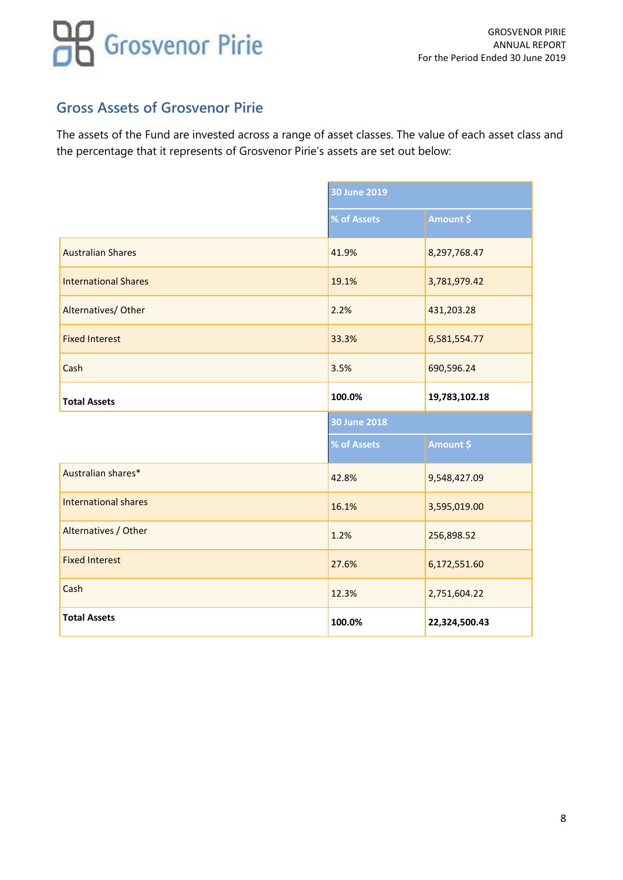### **Gross Assets of Grosvenor Pirie**

The assets of the Fund are invested across a range of asset classes. The value of each asset class and the percentage that it represents of Grosvenor Pirie's assets are set out below:

|                             | 30 June 2019        |               |
|-----------------------------|---------------------|---------------|
|                             | % of Assets         | Amount \$     |
| <b>Australian Shares</b>    | 41.9%               | 8,297,768.47  |
| <b>International Shares</b> | 19.1%               | 3,781,979.42  |
| Alternatives/ Other         | 2.2%                | 431,203.28    |
| <b>Fixed Interest</b>       | 33.3%               | 6,581,554.77  |
| Cash                        | 3.5%                | 690,596.24    |
| <b>Total Assets</b>         | 100.0%              | 19,783,102.18 |
|                             |                     |               |
|                             | <b>30 June 2018</b> |               |
|                             | % of Assets         | Amount \$     |
| Australian shares*          | 42.8%               | 9,548,427.09  |
| <b>International shares</b> | 16.1%               | 3,595,019.00  |
| Alternatives / Other        | 1.2%                | 256,898.52    |
| <b>Fixed Interest</b>       | 27.6%               | 6,172,551.60  |
| Cash                        | 12.3%               | 2,751,604.22  |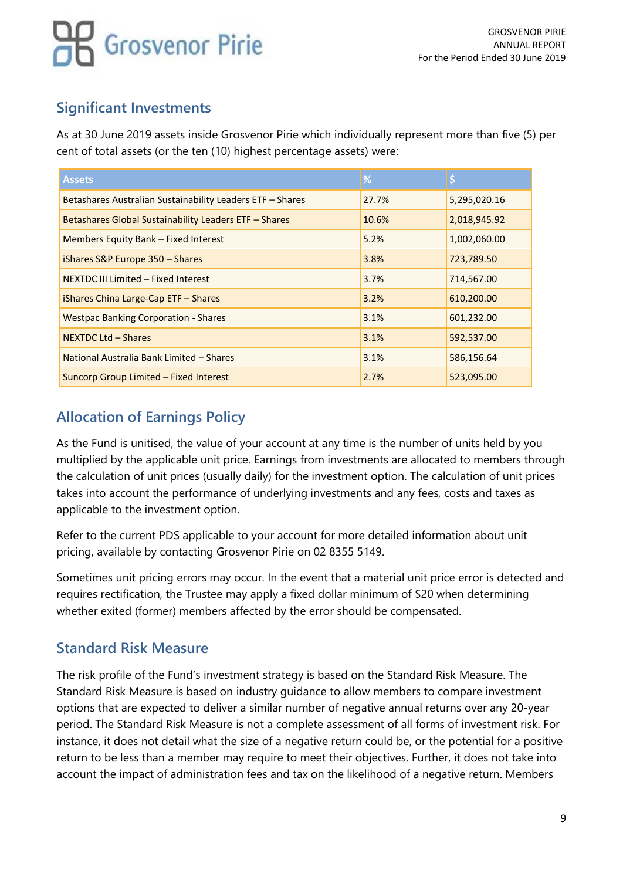## **Significant Investments**

As at 30 June 2019 assets inside Grosvenor Pirie which individually represent more than five (5) per cent of total assets (or the ten (10) highest percentage assets) were:

| <b>Assets</b>                                             | %     |              |
|-----------------------------------------------------------|-------|--------------|
| Betashares Australian Sustainability Leaders ETF - Shares | 27.7% | 5,295,020.16 |
| Betashares Global Sustainability Leaders ETF - Shares     | 10.6% | 2,018,945.92 |
| Members Equity Bank - Fixed Interest                      | 5.2%  | 1,002,060.00 |
| iShares S&P Europe 350 - Shares                           | 3.8%  | 723,789.50   |
| NEXTDC III Limited - Fixed Interest                       | 3.7%  | 714,567.00   |
| iShares China Large-Cap ETF - Shares                      | 3.2%  | 610,200.00   |
| <b>Westpac Banking Corporation - Shares</b>               | 3.1%  | 601,232.00   |
| <b>NEXTDC Ltd - Shares</b>                                | 3.1%  | 592,537.00   |
| National Australia Bank Limited - Shares                  | 3.1%  | 586,156.64   |
| Suncorp Group Limited - Fixed Interest                    | 2.7%  | 523,095.00   |

## **Allocation of Earnings Policy**

As the Fund is unitised, the value of your account at any time is the number of units held by you multiplied by the applicable unit price. Earnings from investments are allocated to members through the calculation of unit prices (usually daily) for the investment option. The calculation of unit prices takes into account the performance of underlying investments and any fees, costs and taxes as applicable to the investment option.

Refer to the current PDS applicable to your account for more detailed information about unit pricing, available by contacting Grosvenor Pirie on 02 8355 5149.

Sometimes unit pricing errors may occur. In the event that a material unit price error is detected and requires rectification, the Trustee may apply a fixed dollar minimum of \$20 when determining whether exited (former) members affected by the error should be compensated.

## **Standard Risk Measure**

The risk profile of the Fund's investment strategy is based on the Standard Risk Measure. The Standard Risk Measure is based on industry guidance to allow members to compare investment options that are expected to deliver a similar number of negative annual returns over any 20-year period. The Standard Risk Measure is not a complete assessment of all forms of investment risk. For instance, it does not detail what the size of a negative return could be, or the potential for a positive return to be less than a member may require to meet their objectives. Further, it does not take into account the impact of administration fees and tax on the likelihood of a negative return. Members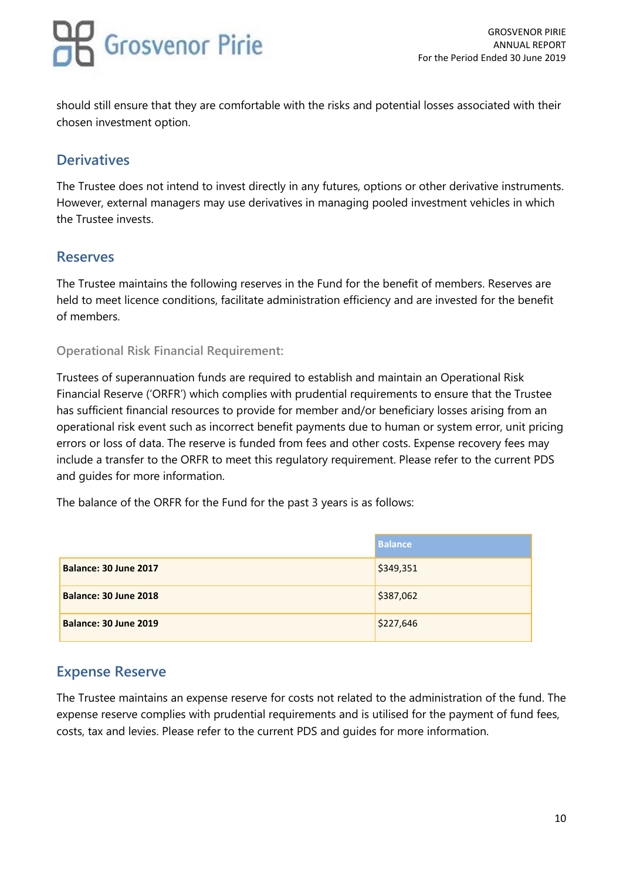should still ensure that they are comfortable with the risks and potential losses associated with their chosen investment option.

## **Derivatives**

The Trustee does not intend to invest directly in any futures, options or other derivative instruments. However, external managers may use derivatives in managing pooled investment vehicles in which the Trustee invests.

### **Reserves**

The Trustee maintains the following reserves in the Fund for the benefit of members. Reserves are held to meet licence conditions, facilitate administration efficiency and are invested for the benefit of members.

### **Operational Risk Financial Requirement:**

Trustees of superannuation funds are required to establish and maintain an Operational Risk Financial Reserve ('ORFR') which complies with prudential requirements to ensure that the Trustee has sufficient financial resources to provide for member and/or beneficiary losses arising from an operational risk event such as incorrect benefit payments due to human or system error, unit pricing errors or loss of data. The reserve is funded from fees and other costs. Expense recovery fees may include a transfer to the ORFR to meet this regulatory requirement. Please refer to the current PDS and guides for more information.

The balance of the ORFR for the Fund for the past 3 years is as follows:

|                       | <b>Balance</b> |
|-----------------------|----------------|
| Balance: 30 June 2017 | \$349,351      |
| Balance: 30 June 2018 | \$387,062      |
| Balance: 30 June 2019 | \$227,646      |

## **Expense Reserve**

The Trustee maintains an expense reserve for costs not related to the administration of the fund. The expense reserve complies with prudential requirements and is utilised for the payment of fund fees, costs, tax and levies. Please refer to the current PDS and guides for more information.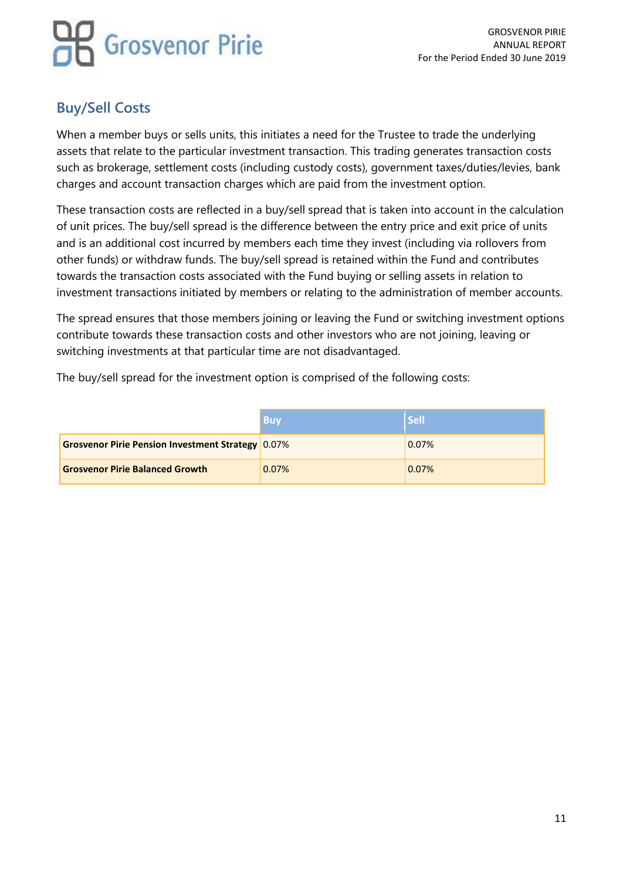## **Buy/Sell Costs**

When a member buys or sells units, this initiates a need for the Trustee to trade the underlying assets that relate to the particular investment transaction. This trading generates transaction costs such as brokerage, settlement costs (including custody costs), government taxes/duties/levies, bank charges and account transaction charges which are paid from the investment option.

These transaction costs are reflected in a buy/sell spread that is taken into account in the calculation of unit prices. The buy/sell spread is the difference between the entry price and exit price of units and is an additional cost incurred by members each time they invest (including via rollovers from other funds) or withdraw funds. The buy/sell spread is retained within the Fund and contributes towards the transaction costs associated with the Fund buying or selling assets in relation to investment transactions initiated by members or relating to the administration of member accounts.

The spread ensures that those members joining or leaving the Fund or switching investment options contribute towards these transaction costs and other investors who are not joining, leaving or switching investments at that particular time are not disadvantaged.

The buy/sell spread for the investment option is comprised of the following costs:

|                                                          | Buv   | <b>Sell</b> |
|----------------------------------------------------------|-------|-------------|
| <b>Grosvenor Pirie Pension Investment Strategy 0.07%</b> |       | 0.07%       |
| <b>Grosvenor Pirie Balanced Growth</b>                   | 0.07% | 0.07%       |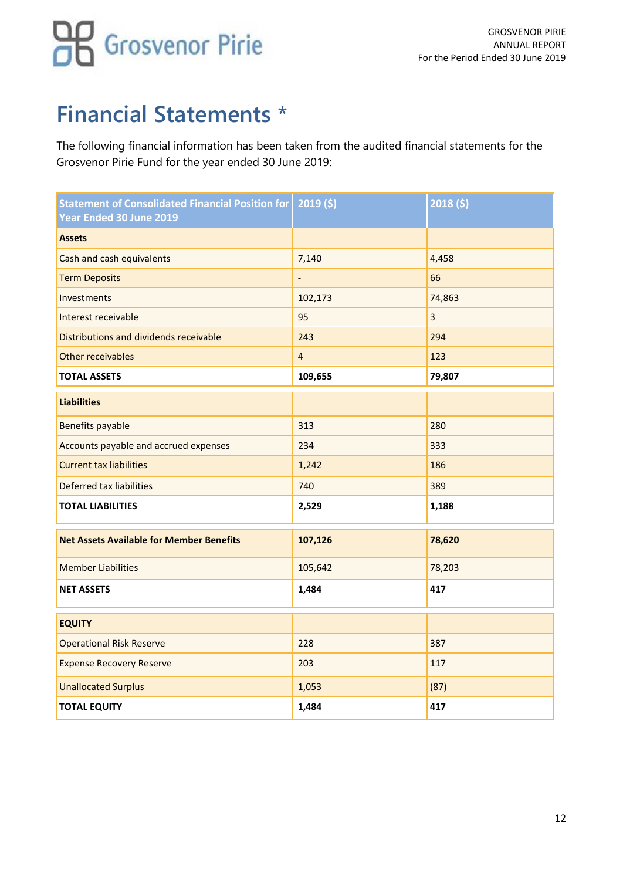## **Financial Statements \***

The following financial information has been taken from the audited financial statements for the Grosvenor Pirie Fund for the year ended 30 June 2019:

| <b>Statement of Consolidated Financial Position for</b><br>Year Ended 30 June 2019 | 2019(5)        | 2018(5) |
|------------------------------------------------------------------------------------|----------------|---------|
| <b>Assets</b>                                                                      |                |         |
| Cash and cash equivalents                                                          | 7,140          | 4,458   |
| <b>Term Deposits</b>                                                               |                | 66      |
| Investments                                                                        | 102,173        | 74,863  |
| Interest receivable                                                                | 95             | 3       |
| Distributions and dividends receivable                                             | 243            | 294     |
| Other receivables                                                                  | $\overline{4}$ | 123     |
| <b>TOTAL ASSETS</b>                                                                | 109,655        | 79,807  |
| <b>Liabilities</b>                                                                 |                |         |
| <b>Benefits payable</b>                                                            | 313            | 280     |
| Accounts payable and accrued expenses                                              | 234            | 333     |
| <b>Current tax liabilities</b>                                                     | 1,242          | 186     |
| Deferred tax liabilities                                                           | 740            | 389     |
| <b>TOTAL LIABILITIES</b>                                                           | 2,529          | 1,188   |
| <b>Net Assets Available for Member Benefits</b>                                    | 107,126        | 78,620  |
| <b>Member Liabilities</b>                                                          | 105,642        | 78,203  |
| <b>NET ASSETS</b>                                                                  | 1,484          | 417     |
| <b>EQUITY</b>                                                                      |                |         |
| <b>Operational Risk Reserve</b>                                                    | 228            | 387     |
| <b>Expense Recovery Reserve</b>                                                    | 203            | 117     |
| <b>Unallocated Surplus</b>                                                         | 1,053          | (87)    |
| <b>TOTAL EQUITY</b>                                                                | 1,484          | 417     |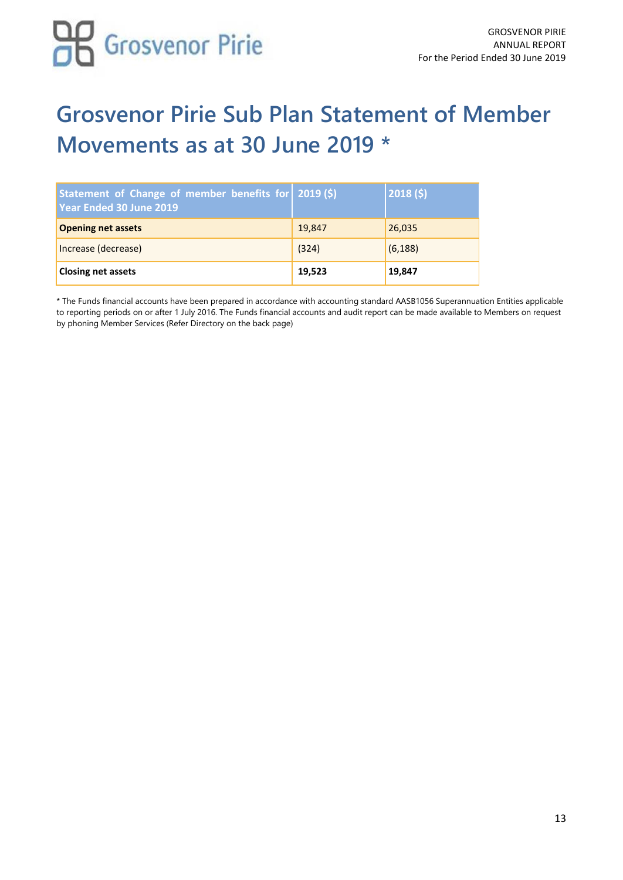

## **Grosvenor Pirie Sub Plan Statement of Member Movements as at 30 June 2019 \***

| Statement of Change of member benefits for   2019 (\$)<br>Year Ended 30 June 2019 |        | 2018(5)  |
|-----------------------------------------------------------------------------------|--------|----------|
| <b>Opening net assets</b>                                                         | 19,847 | 26,035   |
| Increase (decrease)                                                               | (324)  | (6, 188) |
| <b>Closing net assets</b>                                                         | 19,523 | 19,847   |

\* The Funds financial accounts have been prepared in accordance with accounting standard AASB1056 Superannuation Entities applicable to reporting periods on or after 1 July 2016. The Funds financial accounts and audit report can be made available to Members on request by phoning Member Services (Refer Directory on the back page)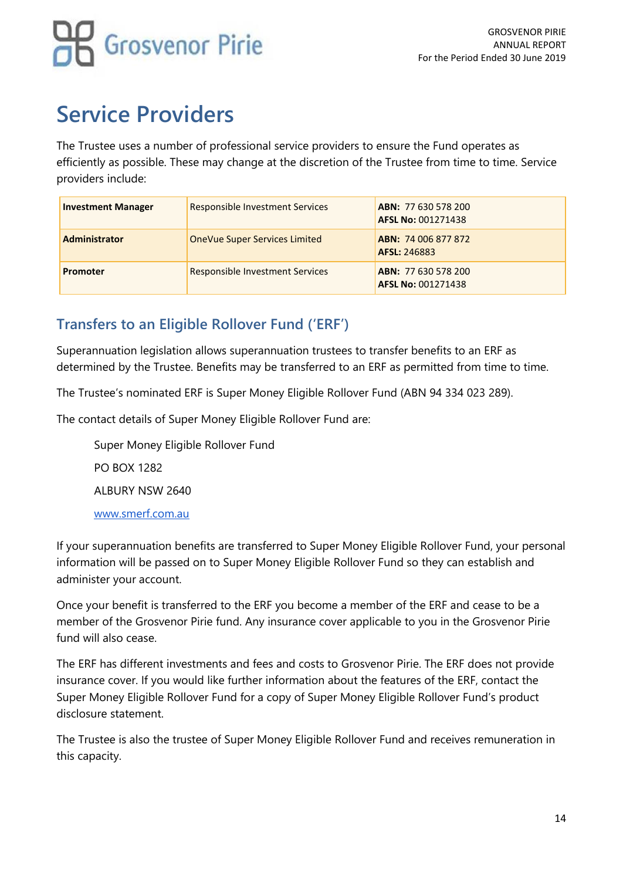## **Service Providers**

The Trustee uses a number of professional service providers to ensure the Fund operates as efficiently as possible. These may change at the discretion of the Trustee from time to time. Service providers include:

| <b>Investment Manager</b> | <b>Responsible Investment Services</b> | ABN: 77 630 578 200<br><b>AFSL No: 001271438</b> |
|---------------------------|----------------------------------------|--------------------------------------------------|
| <b>Administrator</b>      | OneVue Super Services Limited          | <b>ABN: 74 006 877 872</b><br>AFSL: 246883       |
| Promoter                  | <b>Responsible Investment Services</b> | ABN: 77 630 578 200<br>AFSL No: 001271438        |

## **Transfers to an Eligible Rollover Fund ('ERF')**

Superannuation legislation allows superannuation trustees to transfer benefits to an ERF as determined by the Trustee. Benefits may be transferred to an ERF as permitted from time to time.

The Trustee's nominated ERF is Super Money Eligible Rollover Fund (ABN 94 334 023 289).

The contact details of Super Money Eligible Rollover Fund are:

Super Money Eligible Rollover Fund PO BOX 1282 ALBURY NSW 2640 [www.smerf.com.au](http://www.smerf.com.au/)

If your superannuation benefits are transferred to Super Money Eligible Rollover Fund, your personal information will be passed on to Super Money Eligible Rollover Fund so they can establish and administer your account.

Once your benefit is transferred to the ERF you become a member of the ERF and cease to be a member of the Grosvenor Pirie fund. Any insurance cover applicable to you in the Grosvenor Pirie fund will also cease.

The ERF has different investments and fees and costs to Grosvenor Pirie. The ERF does not provide insurance cover. If you would like further information about the features of the ERF, contact the Super Money Eligible Rollover Fund for a copy of Super Money Eligible Rollover Fund's product disclosure statement.

The Trustee is also the trustee of Super Money Eligible Rollover Fund and receives remuneration in this capacity.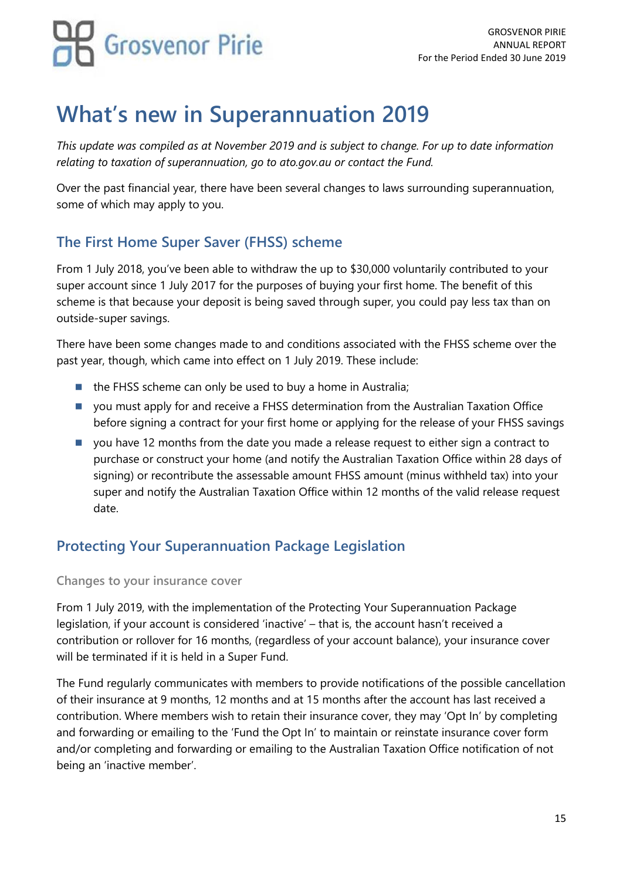## **What's new in Superannuation 2019**

*This update was compiled as at November 2019 and is subject to change. For up to date information relating to taxation of superannuation, go to ato.gov.au or contact the Fund.*

Over the past financial year, there have been several changes to laws surrounding superannuation, some of which may apply to you.

## **The First Home Super Saver (FHSS) scheme**

From 1 July 2018, you've been able to withdraw the up to \$30,000 voluntarily contributed to your super account since 1 July 2017 for the purposes of buying your first home. The benefit of this scheme is that because your deposit is being saved through super, you could pay less tax than on outside-super savings.

There have been some changes made to and conditions associated with the FHSS scheme over the past year, though, which came into effect on 1 July 2019. These include:

- the FHSS scheme can only be used to buy a home in Australia;
- you must apply for and receive a FHSS determination from the Australian Taxation Office before signing a contract for your first home or applying for the release of your FHSS savings
- you have 12 months from the date you made a release request to either sign a contract to purchase or construct your home (and notify the Australian Taxation Office within 28 days of signing) or recontribute the assessable amount FHSS amount (minus withheld tax) into your super and notify the Australian Taxation Office within 12 months of the valid release request date.

## **Protecting Your Superannuation Package Legislation**

### **Changes to your insurance cover**

From 1 July 2019, with the implementation of the Protecting Your Superannuation Package legislation, if your account is considered 'inactive' – that is, the account hasn't received a contribution or rollover for 16 months, (regardless of your account balance), your insurance cover will be terminated if it is held in a Super Fund.

The Fund regularly communicates with members to provide notifications of the possible cancellation of their insurance at 9 months, 12 months and at 15 months after the account has last received a contribution. Where members wish to retain their insurance cover, they may 'Opt In' by completing and forwarding or emailing to the 'Fund the Opt In' to maintain or reinstate insurance cover form and/or completing and forwarding or emailing to the Australian Taxation Office notification of not being an 'inactive member'.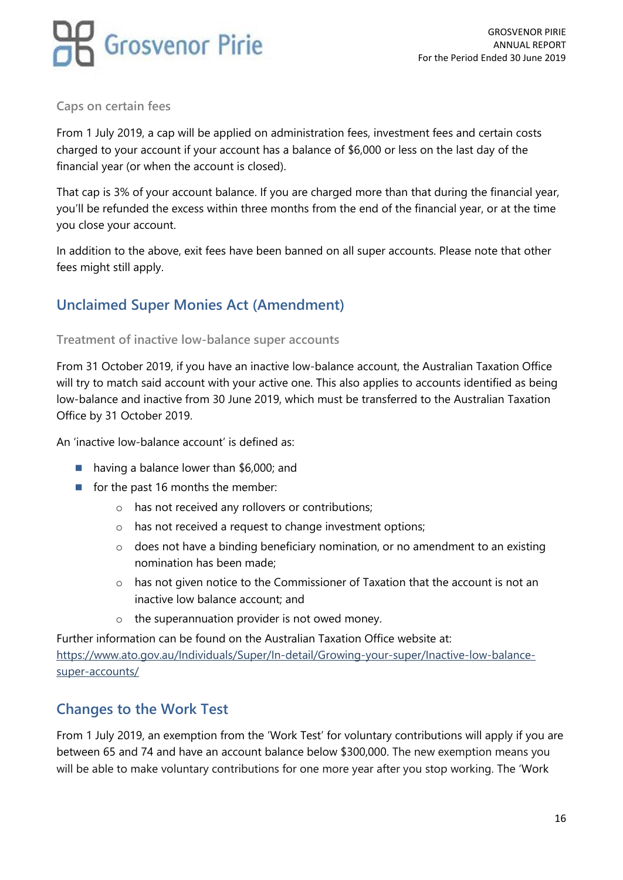

#### **Caps on certain fees**

From 1 July 2019, a cap will be applied on administration fees, investment fees and certain costs charged to your account if your account has a balance of \$6,000 or less on the last day of the financial year (or when the account is closed).

That cap is 3% of your account balance. If you are charged more than that during the financial year, you'll be refunded the excess within three months from the end of the financial year, or at the time you close your account.

In addition to the above, exit fees have been banned on all super accounts. Please note that other fees might still apply.

## **Unclaimed Super Monies Act (Amendment)**

#### **Treatment of inactive low-balance super accounts**

From 31 October 2019, if you have an inactive low-balance account, the Australian Taxation Office will try to match said account with your active one. This also applies to accounts identified as being low-balance and inactive from 30 June 2019, which must be transferred to the Australian Taxation Office by 31 October 2019.

An 'inactive low-balance account' is defined as:

- having a balance lower than \$6,000; and
- for the past 16 months the member:
	- o has not received any rollovers or contributions;
	- o has not received a request to change investment options;
	- o does not have a binding beneficiary nomination, or no amendment to an existing nomination has been made;
	- o has not given notice to the Commissioner of Taxation that the account is not an inactive low balance account; and
	- o the superannuation provider is not owed money.

Further information can be found on the Australian Taxation Office website at: [https://www.ato.gov.au/Individuals/Super/In-detail/Growing-your-super/Inactive-low-balance](https://www.ato.gov.au/Individuals/Super/In-detail/Growing-your-super/Inactive-low-balance-super-accounts/)[super-accounts/](https://www.ato.gov.au/Individuals/Super/In-detail/Growing-your-super/Inactive-low-balance-super-accounts/)

### **Changes to the Work Test**

From 1 July 2019, an exemption from the 'Work Test' for voluntary contributions will apply if you are between 65 and 74 and have an account balance below \$300,000. The new exemption means you will be able to make voluntary contributions for one more year after you stop working. The 'Work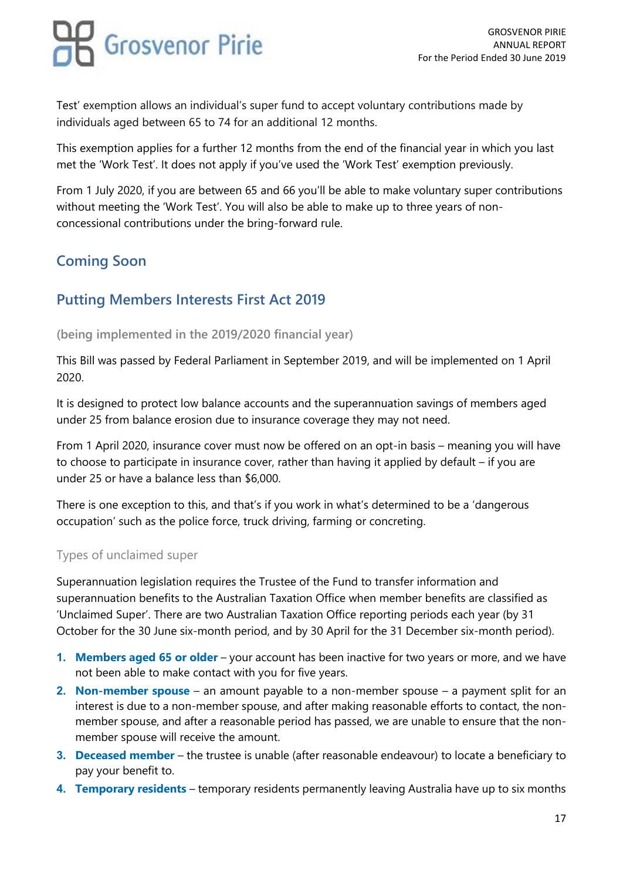Test' exemption allows an individual's super fund to accept voluntary contributions made by individuals aged between 65 to 74 for an additional 12 months.

This exemption applies for a further 12 months from the end of the financial year in which you last met the 'Work Test'. It does not apply if you've used the 'Work Test' exemption previously.

From 1 July 2020, if you are between 65 and 66 you'll be able to make voluntary super contributions without meeting the 'Work Test'. You will also be able to make up to three years of nonconcessional contributions under the bring-forward rule.

## **Coming Soon**

## **Putting Members Interests First Act 2019**

#### **(being implemented in the 2019/2020 financial year)**

This Bill was passed by Federal Parliament in September 2019, and will be implemented on 1 April 2020.

It is designed to protect low balance accounts and the superannuation savings of members aged under 25 from balance erosion due to insurance coverage they may not need.

From 1 April 2020, insurance cover must now be offered on an opt-in basis – meaning you will have to choose to participate in insurance cover, rather than having it applied by default – if you are under 25 or have a balance less than \$6,000.

There is one exception to this, and that's if you work in what's determined to be a 'dangerous occupation' such as the police force, truck driving, farming or concreting.

### Types of unclaimed super

Superannuation legislation requires the Trustee of the Fund to transfer information and superannuation benefits to the Australian Taxation Office when member benefits are classified as 'Unclaimed Super'. There are two Australian Taxation Office reporting periods each year (by 31 October for the 30 June six-month period, and by 30 April for the 31 December six-month period).

- **1. Members aged 65 or older** your account has been inactive for two years or more, and we have not been able to make contact with you for five years.
- **2. Non-member spouse** an amount payable to a non-member spouse a payment split for an interest is due to a non-member spouse, and after making reasonable efforts to contact, the nonmember spouse, and after a reasonable period has passed, we are unable to ensure that the nonmember spouse will receive the amount.
- **3. Deceased member** the trustee is unable (after reasonable endeavour) to locate a beneficiary to pay your benefit to.
- **4. Temporary residents** temporary residents permanently leaving Australia have up to six months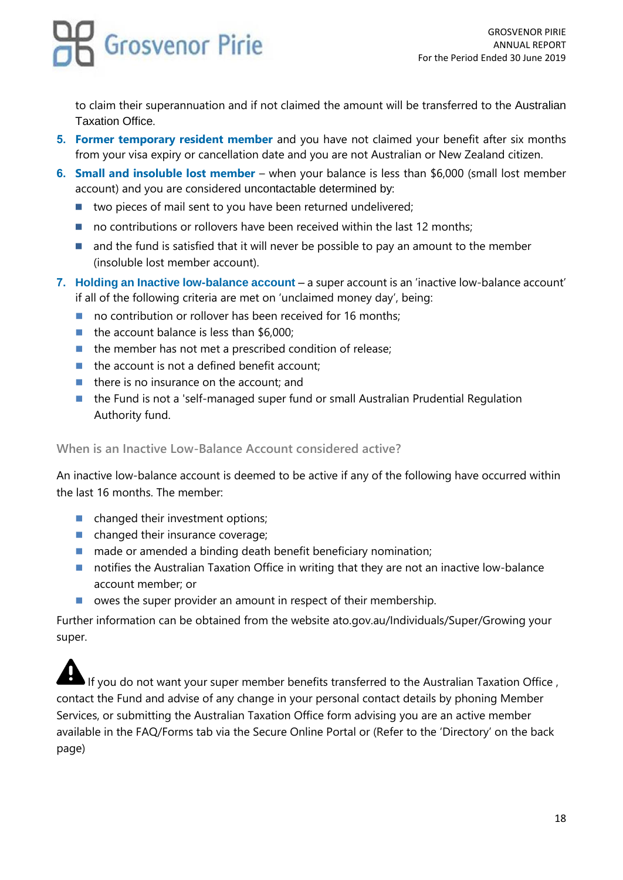to claim their superannuation and if not claimed the amount will be transferred to the Australian Taxation Office.

- **5. Former temporary resident member** and you have not claimed your benefit after six months from your visa expiry or cancellation date and you are not Australian or New Zealand citizen.
- **6. Small and insoluble lost member** when your balance is less than \$6,000 (small lost member account) and you are considered uncontactable determined by:
	- two pieces of mail sent to you have been returned undelivered;
	- no contributions or rollovers have been received within the last 12 months;
	- and the fund is satisfied that it will never be possible to pay an amount to the member (insoluble lost member account).
- **7. Holding an Inactive low-balance account** a super account is an 'inactive low-balance account' if all of the following criteria are met on 'unclaimed money day', being:
	- no contribution or rollover has been received for 16 months;
	- the account balance is less than \$6,000;
	- the member has not met a prescribed condition of release;
	- $\blacksquare$  the account is not a defined benefit account;
	- $\blacksquare$  there is no insurance on the account; and
	- the Fund is not a 'self-managed super fund or small Australian Prudential Regulation Authority fund.

### **When is an Inactive Low-Balance Account considered active?**

An inactive low-balance account is deemed to be active if any of the following have occurred within the last 16 months. The member:

- changed their investment options;
- changed their insurance coverage;
- made or amended a binding death benefit beneficiary nomination;
- notifies the Australian Taxation Office in writing that they are not an inactive low-balance account member; or
- owes the super provider an amount in respect of their membership.

Further information can be obtained from the website ato.gov.au/Individuals/Super/Growing your super.

If you do not want your super member benefits transferred to the Australian Taxation Office, contact the Fund and advise of any change in your personal contact details by phoning Member Services, or submitting the Australian Taxation Office form advising you are an active member available in the FAQ/Forms tab via the Secure Online Portal or (Refer to the 'Directory' on the back page)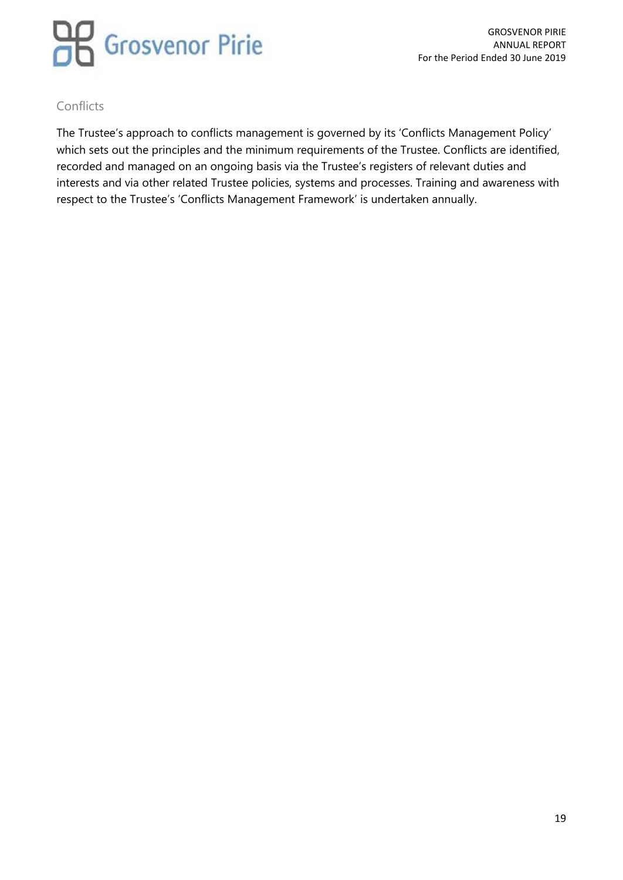

### Conflicts

The Trustee's approach to conflicts management is governed by its 'Conflicts Management Policy' which sets out the principles and the minimum requirements of the Trustee. Conflicts are identified, recorded and managed on an ongoing basis via the Trustee's registers of relevant duties and interests and via other related Trustee policies, systems and processes. Training and awareness with respect to the Trustee's 'Conflicts Management Framework' is undertaken annually.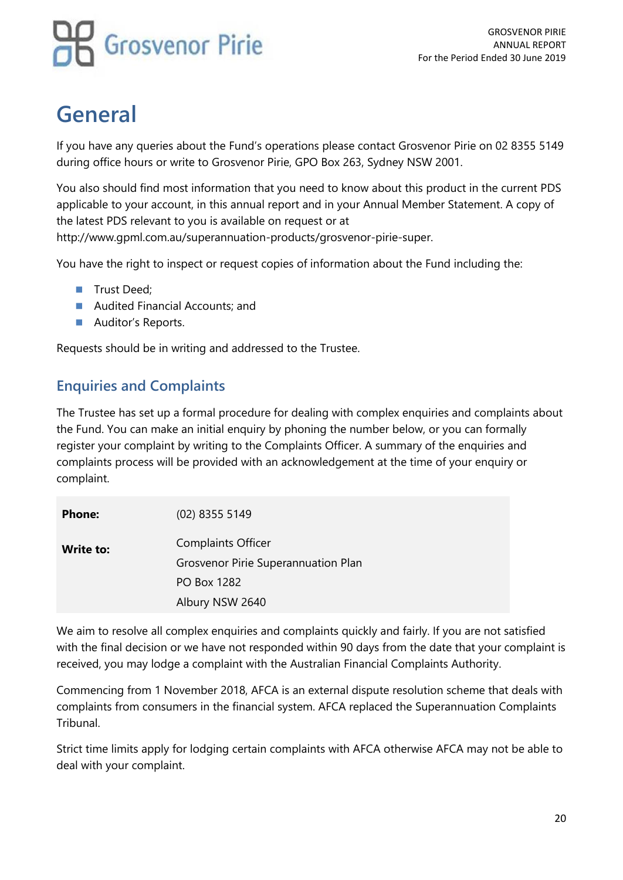## **General**

If you have any queries about the Fund's operations please contact Grosvenor Pirie on 02 8355 5149 during office hours or write to Grosvenor Pirie, GPO Box 263, Sydney NSW 2001.

You also should find most information that you need to know about this product in the current PDS applicable to your account, in this annual report and in your Annual Member Statement. A copy of the latest PDS relevant to you is available on request or at http://www.gpml.com.au/superannuation-products/grosvenor-pirie-super.

You have the right to inspect or request copies of information about the Fund including the:

- Trust Deed;
- Audited Financial Accounts; and
- Auditor's Reports.

Requests should be in writing and addressed to the Trustee.

## **Enquiries and Complaints**

The Trustee has set up a formal procedure for dealing with complex enquiries and complaints about the Fund. You can make an initial enquiry by phoning the number below, or you can formally register your complaint by writing to the Complaints Officer. A summary of the enquiries and complaints process will be provided with an acknowledgement at the time of your enquiry or complaint.

| <b>Phone:</b> | $(02)$ 8355 5149                    |
|---------------|-------------------------------------|
| Write to:     | <b>Complaints Officer</b>           |
|               | Grosvenor Pirie Superannuation Plan |
|               | <b>PO Box 1282</b>                  |
|               | Albury NSW 2640                     |

We aim to resolve all complex enquiries and complaints quickly and fairly. If you are not satisfied with the final decision or we have not responded within 90 days from the date that your complaint is received, you may lodge a complaint with the Australian Financial Complaints Authority.

Commencing from 1 November 2018, AFCA is an external dispute resolution scheme that deals with complaints from consumers in the financial system. AFCA replaced the Superannuation Complaints Tribunal.

Strict time limits apply for lodging certain complaints with AFCA otherwise AFCA may not be able to deal with your complaint.